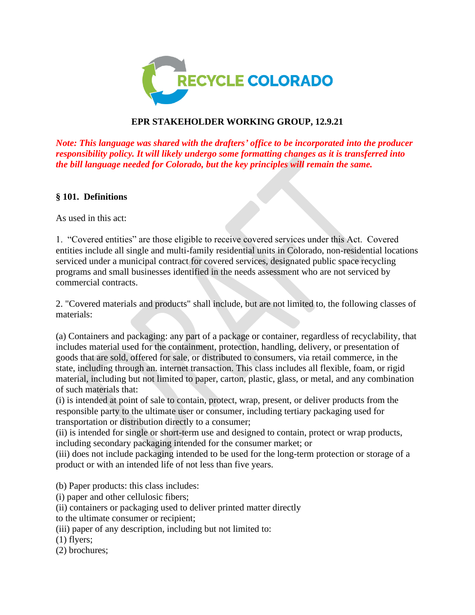

## **EPR STAKEHOLDER WORKING GROUP, 12.9.21**

*Note: This language was shared with the drafters' office to be incorporated into the producer responsibility policy. It will likely undergo some formatting changes as it is transferred into the bill language needed for Colorado, but the key principles will remain the same.* 

## **§ 101. Definitions**

As used in this act:

1. "Covered entities" are those eligible to receive covered services under this Act. Covered entities include all single and multi-family residential units in Colorado, non-residential locations serviced under a municipal contract for covered services, designated public space recycling programs and small businesses identified in the needs assessment who are not serviced by commercial contracts.

2. "Covered materials and products" shall include, but are not limited to, the following classes of materials:

(a) Containers and packaging: any part of a package or container, regardless of recyclability, that includes material used for the containment, protection, handling, delivery, or presentation of goods that are sold, offered for sale, or distributed to consumers, via retail commerce, in the state, including through an. internet transaction. This class includes all flexible, foam, or rigid material, including but not limited to paper, carton, plastic, glass, or metal, and any combination of such materials that:

(i) is intended at point of sale to contain, protect, wrap, present, or deliver products from the responsible party to the ultimate user or consumer, including tertiary packaging used for transportation or distribution directly to a consumer;

(ii) is intended for single or short-term use and designed to contain, protect or wrap products, including secondary packaging intended for the consumer market; or

(iii) does not include packaging intended to be used for the long-term protection or storage of a product or with an intended life of not less than five years.

(b) Paper products: this class includes:

(i) paper and other cellulosic fibers;

(ii) containers or packaging used to deliver printed matter directly

to the ultimate consumer or recipient;

(iii) paper of any description, including but not limited to:

(1) flyers;

(2) brochures;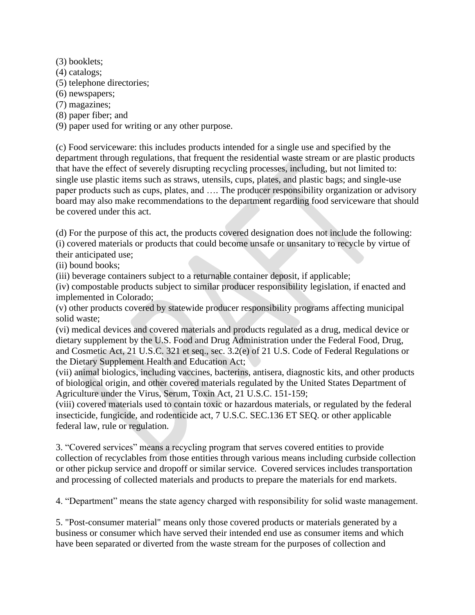(3) booklets; (4) catalogs; (5) telephone directories; (6) newspapers; (7) magazines; (8) paper fiber; and (9) paper used for writing or any other purpose.

(c) Food serviceware: this includes products intended for a single use and specified by the department through regulations, that frequent the residential waste stream or are plastic products that have the effect of severely disrupting recycling processes, including, but not limited to: single use plastic items such as straws, utensils, cups, plates, and plastic bags; and single-use paper products such as cups, plates, and …. The producer responsibility organization or advisory board may also make recommendations to the department regarding food serviceware that should be covered under this act.

(d) For the purpose of this act, the products covered designation does not include the following: (i) covered materials or products that could become unsafe or unsanitary to recycle by virtue of their anticipated use;

(ii) bound books;

(iii) beverage containers subject to a returnable container deposit, if applicable;

(iv) compostable products subject to similar producer responsibility legislation, if enacted and implemented in Colorado;

(v) other products covered by statewide producer responsibility programs affecting municipal solid waste;

(vi) medical devices and covered materials and products regulated as a drug, medical device or dietary supplement by the U.S. Food and Drug Administration under the Federal Food, Drug, and Cosmetic Act, 21 U.S.C. 321 et seq., sec. 3.2(e) of 21 U.S. Code of Federal Regulations or the Dietary Supplement Health and Education Act;

(vii) animal biologics, including vaccines, bacterins, antisera, diagnostic kits, and other products of biological origin, and other covered materials regulated by the United States Department of Agriculture under the Virus, Serum, Toxin Act, 21 U.S.C. 151-159;

(viii) covered materials used to contain toxic or hazardous materials, or regulated by the federal insecticide, fungicide, and rodenticide act, 7 U.S.C. SEC.136 ET SEQ. or other applicable federal law, rule or regulation.

3. "Covered services" means a recycling program that serves covered entities to provide collection of recyclables from those entities through various means including curbside collection or other pickup service and dropoff or similar service. Covered services includes transportation and processing of collected materials and products to prepare the materials for end markets.

4. "Department" means the state agency charged with responsibility for solid waste management.

5. "Post-consumer material" means only those covered products or materials generated by a business or consumer which have served their intended end use as consumer items and which have been separated or diverted from the waste stream for the purposes of collection and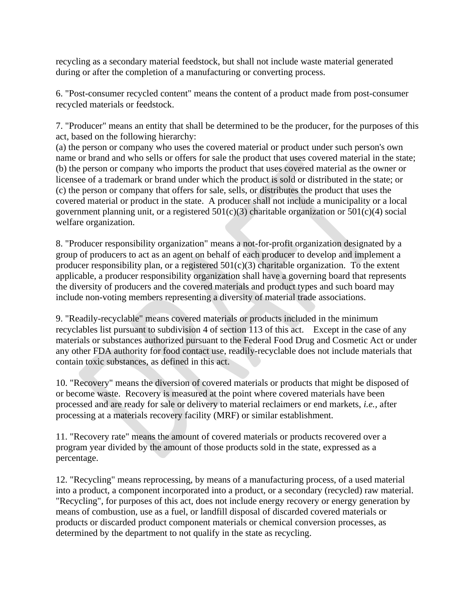recycling as a secondary material feedstock, but shall not include waste material generated during or after the completion of a manufacturing or converting process.

6. "Post-consumer recycled content" means the content of a product made from post-consumer recycled materials or feedstock.

7. "Producer" means an entity that shall be determined to be the producer, for the purposes of this act, based on the following hierarchy:

(a) the person or company who uses the covered material or product under such person's own name or brand and who sells or offers for sale the product that uses covered material in the state; (b) the person or company who imports the product that uses covered material as the owner or licensee of a trademark or brand under which the product is sold or distributed in the state; or (c) the person or company that offers for sale, sells, or distributes the product that uses the covered material or product in the state. A producer shall not include a municipality or a local government planning unit, or a registered  $501(c)(3)$  charitable organization or  $501(c)(4)$  social welfare organization.

8. "Producer responsibility organization" means a not-for-profit organization designated by a group of producers to act as an agent on behalf of each producer to develop and implement a producer responsibility plan, or a registered  $501(c)(3)$  charitable organization. To the extent applicable, a producer responsibility organization shall have a governing board that represents the diversity of producers and the covered materials and product types and such board may include non-voting members representing a diversity of material trade associations.

9. "Readily-recyclable" means covered materials or products included in the minimum recyclables list pursuant to subdivision 4 of section 113 of this act. Except in the case of any materials or substances authorized pursuant to the Federal Food Drug and Cosmetic Act or under any other FDA authority for food contact use, readily-recyclable does not include materials that contain toxic substances, as defined in this act.

10. "Recovery" means the diversion of covered materials or products that might be disposed of or become waste. Recovery is measured at the point where covered materials have been processed and are ready for sale or delivery to material reclaimers or end markets, *i.e.,* after processing at a materials recovery facility (MRF) or similar establishment.

11. "Recovery rate" means the amount of covered materials or products recovered over a program year divided by the amount of those products sold in the state, expressed as a percentage.

12. "Recycling" means reprocessing, by means of a manufacturing process, of a used material into a product, a component incorporated into a product, or a secondary (recycled) raw material. "Recycling", for purposes of this act, does not include energy recovery or energy generation by means of combustion, use as a fuel, or landfill disposal of discarded covered materials or products or discarded product component materials or chemical conversion processes, as determined by the department to not qualify in the state as recycling.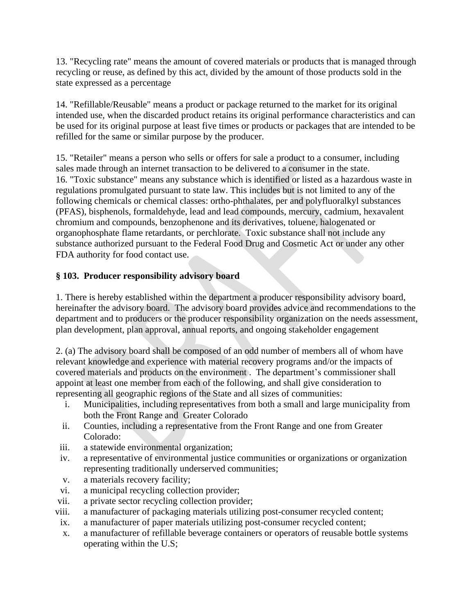13. "Recycling rate" means the amount of covered materials or products that is managed through recycling or reuse, as defined by this act, divided by the amount of those products sold in the state expressed as a percentage

14. "Refillable/Reusable" means a product or package returned to the market for its original intended use, when the discarded product retains its original performance characteristics and can be used for its original purpose at least five times or products or packages that are intended to be refilled for the same or similar purpose by the producer.

15. "Retailer" means a person who sells or offers for sale a product to a consumer, including sales made through an internet transaction to be delivered to a consumer in the state. 16. "Toxic substance" means any substance which is identified or listed as a hazardous waste in regulations promulgated pursuant to state law. This includes but is not limited to any of the following chemicals or chemical classes: ortho-phthalates, per and polyfluoralkyl substances (PFAS), bisphenols, formaldehyde, lead and lead compounds, mercury, cadmium, hexavalent chromium and compounds, benzophenone and its derivatives, toluene, halogenated or organophosphate flame retardants, or perchlorate. Toxic substance shall not include any substance authorized pursuant to the Federal Food Drug and Cosmetic Act or under any other FDA authority for food contact use.

## **§ 103. Producer responsibility advisory board**

1. There is hereby established within the department a producer responsibility advisory board, hereinafter the advisory board. The advisory board provides advice and recommendations to the department and to producers or the producer responsibility organization on the needs assessment, plan development, plan approval, annual reports, and ongoing stakeholder engagement

2. (a) The advisory board shall be composed of an odd number of members all of whom have relevant knowledge and experience with material recovery programs and/or the impacts of covered materials and products on the environment . The department's commissioner shall appoint at least one member from each of the following, and shall give consideration to representing all geographic regions of the State and all sizes of communities:

- i. Municipalities, including representatives from both a small and large municipality from both the Front Range and Greater Colorado
- ii. Counties, including a representative from the Front Range and one from Greater Colorado:
- iii. a statewide environmental organization;
- iv. a representative of environmental justice communities or organizations or organization representing traditionally underserved communities;
- v. a materials recovery facility;
- vi. a municipal recycling collection provider;
- vii. a private sector recycling collection provider;
- viii. a manufacturer of packaging materials utilizing post-consumer recycled content;
- ix. a manufacturer of paper materials utilizing post-consumer recycled content;
- x. a manufacturer of refillable beverage containers or operators of reusable bottle systems operating within the U.S;